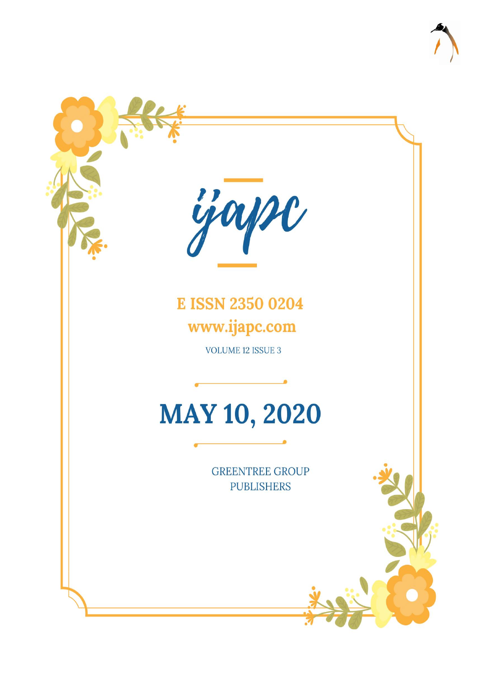

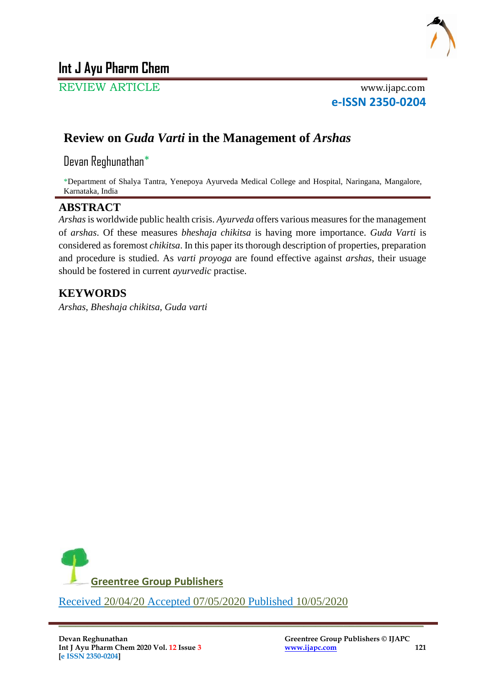

# **Int J Ayu Pharm Chem**

REVIEW ARTICLE www.ijapc.com

**e-ISSN 2350-0204**

# **Review on** *Guda Varti* **in the Management of** *Arshas*

Devan Reghunathan\*

\*Department of Shalya Tantra, Yenepoya Ayurveda Medical College and Hospital, Naringana, Mangalore, Karnataka, India

## **ABSTRACT**

*Arshas*is worldwide public health crisis. *Ayurveda* offers various measures for the management of *arshas*. Of these measures *bheshaja chikitsa* is having more importance. *Guda Varti* is considered as foremost *chikitsa*. In this paper its thorough description of properties, preparation and procedure is studied. As *varti proyoga* are found effective against *arshas*, their usuage should be fostered in current *ayurvedic* practise.

 $\overline{\phantom{a}}$  , and the contribution of the contribution of the contribution of the contribution of the contribution of the contribution of the contribution of the contribution of the contribution of the contribution of the

# **KEYWORDS**

*Arshas*, *Bheshaja chikitsa, Guda varti*

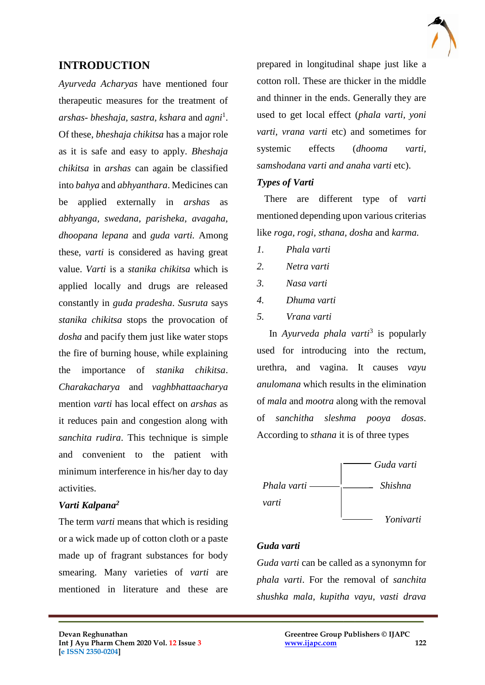

## **INTRODUCTION**

*Ayurveda Acharyas* have mentioned four therapeutic measures for the treatment of *arshas- bheshaja, sastra, kshara* and *agni*<sup>1</sup> . Of these, *bheshaja chikitsa* has a major role as it is safe and easy to apply. *Bheshaja chikitsa* in *arshas* can again be classified into *bahya* and *abhyanthara*. Medicines can be applied externally in *arshas* as *abhyanga, swedana, parisheka, avagaha, dhoopana lepana* and *guda varti.* Among these, *varti* is considered as having great value. *Varti* is a *stanika chikitsa* which is applied locally and drugs are released constantly in *guda pradesha*. *Susruta* says *stanika chikitsa* stops the provocation of *dosha* and pacify them just like water stops the fire of burning house, while explaining the importance of *stanika chikitsa*. *Charakacharya* and *vaghbhattaacharya* mention *varti* has local effect on *arshas* as it reduces pain and congestion along with *sanchita rudira*. This technique is simple and convenient to the patient with minimum interference in his/her day to day activities.

### *Varti Kalpana<sup>2</sup>*

The term *varti* means that which is residing or a wick made up of cotton cloth or a paste made up of fragrant substances for body smearing. Many varieties of *varti* are mentioned in literature and these are

prepared in longitudinal shape just like a cotton roll. These are thicker in the middle and thinner in the ends. Generally they are used to get local effect (*phala varti, yoni varti, vrana varti* etc) and sometimes for systemic effects (*dhooma varti, samshodana varti and anaha varti* etc).

### *Types of Varti*

 There are different type of *varti* mentioned depending upon various criterias like *roga, rogi, sthana, dosha* and *karma.* 

- *1. Phala varti*
- *2. Netra varti*
- *3. Nasa varti*
- *4. Dhuma varti*
- *5. Vrana varti*

In *Ayurveda phala varti*<sup>3</sup> is popularly used for introducing into the rectum, urethra, and vagina. It causes *vayu anulomana* which results in the elimination of *mala* and *mootra* along with the removal of *sanchitha sleshma pooya dosas*. According to *sthana* it is of three types



#### *Guda varti*

 $\mathcal{L}_\mathcal{L}$  , and the contribution of the contribution of the contribution of the contribution of the contribution of the contribution of the contribution of the contribution of the contribution of the contribution of

*Guda varti* can be called as a synonymn for *phala varti*. For the removal of *sanchita shushka mala, kupitha vayu, vasti drava*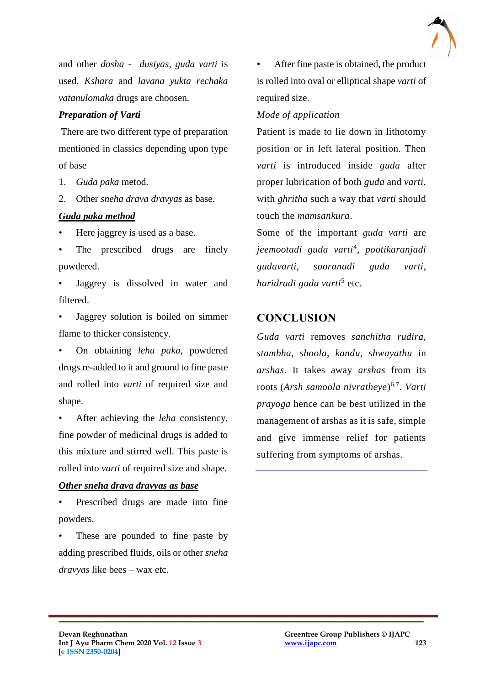

and other *dosha - dusiyas*, *guda varti* is used. *Kshara* and *lavana yukta rechaka vatanulomaka* drugs are choosen.

#### *Preparation of Varti*

There are two different type of preparation mentioned in classics depending upon type of base

- 1. *Guda paka* metod.
- 2. Other *sneha drava dravyas* as base.

### *Guda paka method*

Here jaggrey is used as a base.

The prescribed drugs are finely powdered.

- Jaggrey is dissolved in water and filtered.
- Jaggrey solution is boiled on simmer flame to thicker consistency.

• On obtaining *leha paka*, powdered drugs re-added to it and ground to fine paste and rolled into *varti* of required size and shape.

• After achieving the *leha* consistency, fine powder of medicinal drugs is added to this mixture and stirred well. This paste is rolled into *varti* of required size and shape.

#### *Other sneha drava dravyas as base*

Prescribed drugs are made into fine powders.

These are pounded to fine paste by adding prescribed fluids, oils or other *sneha dravyas* like bees – wax etc.

 $\mathcal{L}_\mathcal{L}$  , and the contribution of the contribution of the contribution of the contribution of the contribution of the contribution of the contribution of the contribution of the contribution of the contribution of

• After fine paste is obtained, the product is rolled into oval or elliptical shape *varti* of required size.

*Mode of application* 

Patient is made to lie down in lithotomy position or in left lateral position. Then *varti* is introduced inside *guda* after proper lubrication of both *guda* and *varti*, with *ghritha* such a way that *varti* should touch the *mamsankura*.

Some of the important *guda varti* are *jeemootadi guda varti*<sup>4</sup> , *pootikaranjadi gudavarti*, *sooranadi guda varti*, *haridradi guda varti*<sup>5</sup> etc.

## **CONCLUSION**

*Guda varti* removes *sanchitha rudira, stambha, shoola, kandu, shwayathu* in *arshas*. It takes away *arshas* from its roots (*Arsh samoola nivratheye*) 6,7 . *Varti prayoga* hence can be best utilized in the management of arshas as it is safe, simple and give immense relief for patients suffering from symptoms of arshas.